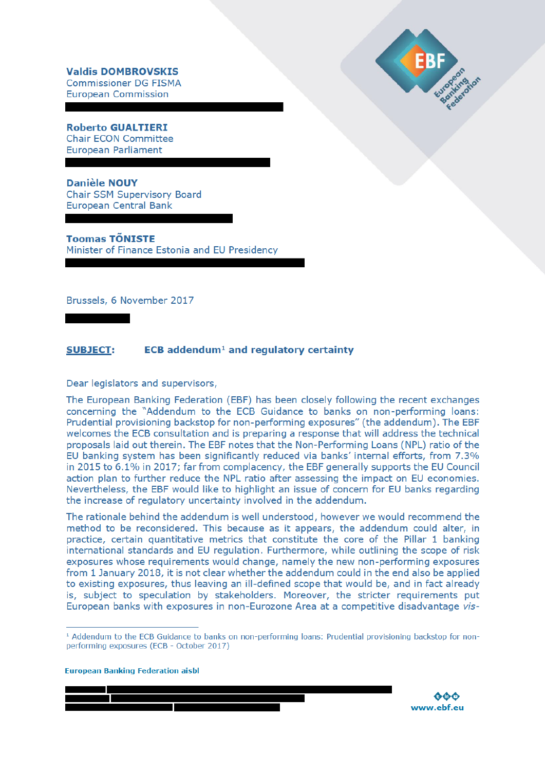**Valdis DOMBROVSKIS Commissioner DG FISMA European Commission** 

**Roberto GUALTIERI Chair ECON Committee European Parliament** 

**Danièle NOUY Chair SSM Supervisory Board European Central Bank** 

**Toomas TÕNISTE** Minister of Finance Estonia and EU Presidency

Brussels, 6 November 2017

## **SUBJECT:**  $ECB$  addendum<sup>1</sup> and regulatory certainty

Dear legislators and supervisors,

The European Banking Federation (EBF) has been closely following the recent exchanges concerning the "Addendum to the ECB Guidance to banks on non-performing loans: Prudential provisioning backstop for non-performing exposures" (the addendum). The EBF welcomes the ECB consultation and is preparing a response that will address the technical proposals laid out therein. The EBF notes that the Non-Performing Loans (NPL) ratio of the EU banking system has been significantly reduced via banks' internal efforts, from 7.3% in 2015 to 6.1% in 2017; far from complacency, the EBF generally supports the EU Council action plan to further reduce the NPL ratio after assessing the impact on EU economies. Nevertheless, the EBF would like to highlight an issue of concern for EU banks regarding the increase of regulatory uncertainty involved in the addendum.

The rationale behind the addendum is well understood, however we would recommend the method to be reconsidered. This because as it appears, the addendum could alter, in practice, certain quantitative metrics that constitute the core of the Pillar 1 banking international standards and EU regulation. Furthermore, while outlining the scope of risk exposures whose requirements would change, namely the new non-performing exposures from 1 January 2018, it is not clear whether the addendum could in the end also be applied to existing exposures, thus leaving an ill-defined scope that would be, and in fact already is, subject to speculation by stakeholders. Moreover, the stricter requirements put European banks with exposures in non-Eurozone Area at a competitive disadvantage vis-

**European Banking Federation aisbl** 





<sup>&</sup>lt;sup>1</sup> Addendum to the ECB Guidance to banks on non-performing loans: Prudential provisioning backstop for nonperforming exposures (ECB - October 2017)